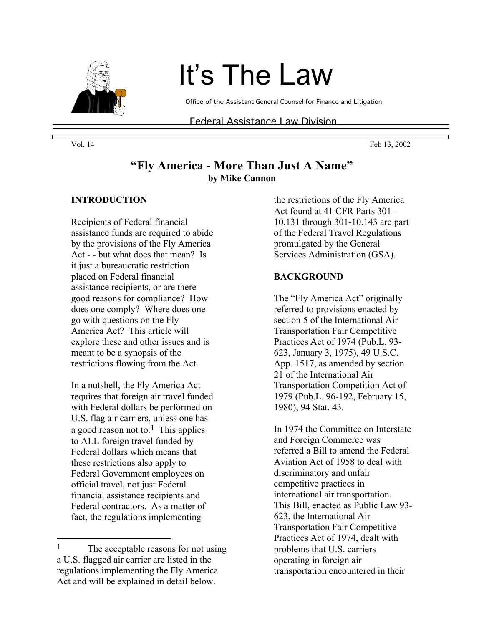

# It's The Law

Office of the Assistant General Counsel for Finance and Litigation

Federal Assistance Law Division

Vol. 14 **Feb 13, 2002** 

## **"Fly America - More Than Just A Name" by Mike Cannon**

#### **INTRODUCTION**

Recipients of Federal financial assistance funds are required to abide by the provisions of the Fly America Act - - but what does that mean? Is it just a bureaucratic restriction placed on Federal financial assistance recipients, or are there good reasons for compliance? How does one comply? Where does one go with questions on the Fly America Act? This article will explore these and other issues and is meant to be a synopsis of the restrictions flowing from the Act.

In a nutshell, the Fly America Act requires that foreign air travel funded with Federal dollars be performed on U.S. flag air carriers, unless one has a good reason not to.<sup>1</sup> This applies to ALL foreign travel funded by Federal dollars which means that these restrictions also apply to Federal Government employees on official travel, not just Federal financial assistance recipients and Federal contractors. As a matter of fact, the regulations implementing

 $\overline{a}$ 

the restrictions of the Fly America Act found at 41 CFR Parts 301- 10.131 through 301-10.143 are part of the Federal Travel Regulations promulgated by the General Services Administration (GSA).

#### **BACKGROUND**

The "Fly America Act" originally referred to provisions enacted by section 5 of the International Air Transportation Fair Competitive Practices Act of 1974 (Pub.L. 93- 623, January 3, 1975), 49 U.S.C. App. 1517, as amended by section 21 of the International Air Transportation Competition Act of 1979 (Pub.L. 96-192, February 15, 1980), 94 Stat. 43.

In 1974 the Committee on Interstate and Foreign Commerce was referred a Bill to amend the Federal Aviation Act of 1958 to deal with discriminatory and unfair competitive practices in international air transportation. This Bill, enacted as Public Law 93- 623, the International Air Transportation Fair Competitive Practices Act of 1974, dealt with problems that U.S. carriers operating in foreign air transportation encountered in their

\_

<sup>&</sup>lt;sup>1</sup> The acceptable reasons for not using a U.S. flagged air carrier are listed in the regulations implementing the Fly America Act and will be explained in detail below.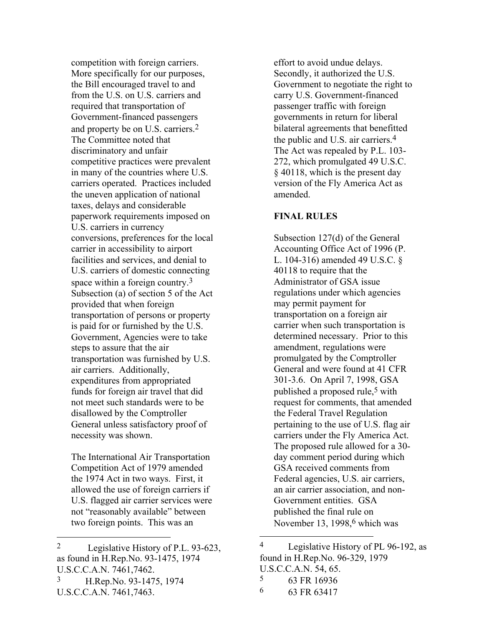competition with foreign carriers. More specifically for our purposes, the Bill encouraged travel to and from the U.S. on U.S. carriers and required that transportation of Government-financed passengers and property be on U.S. carriers.2 The Committee noted that discriminatory and unfair competitive practices were prevalent in many of the countries where U.S. carriers operated. Practices included the uneven application of national taxes, delays and considerable paperwork requirements imposed on U.S. carriers in currency conversions, preferences for the local carrier in accessibility to airport facilities and services, and denial to U.S. carriers of domestic connecting space within a foreign country.3 Subsection (a) of section 5 of the Act provided that when foreign transportation of persons or property is paid for or furnished by the U.S. Government, Agencies were to take steps to assure that the air transportation was furnished by U.S. air carriers. Additionally, expenditures from appropriated funds for foreign air travel that did not meet such standards were to be disallowed by the Comptroller General unless satisfactory proof of necessity was shown.

The International Air Transportation Competition Act of 1979 amended the 1974 Act in two ways. First, it allowed the use of foreign carriers if U.S. flagged air carrier services were not "reasonably available" between two foreign points. This was an

3 H.Rep.No. 93-1475, 1974 U.S.C.C.A.N. 7461,7463.

 $\overline{a}$ 

effort to avoid undue delays. Secondly, it authorized the U.S. Government to negotiate the right to carry U.S. Government-financed passenger traffic with foreign governments in return for liberal bilateral agreements that benefitted the public and U.S. air carriers.4 The Act was repealed by P.L. 103- 272, which promulgated 49 U.S.C. § 40118, which is the present day version of the Fly America Act as amended.

### **FINAL RULES**

Subsection 127(d) of the General Accounting Office Act of 1996 (P. L. 104-316) amended 49 U.S.C. § 40118 to require that the Administrator of GSA issue regulations under which agencies may permit payment for transportation on a foreign air carrier when such transportation is determined necessary. Prior to this amendment, regulations were promulgated by the Comptroller General and were found at 41 CFR 301-3.6. On April 7, 1998, GSA published a proposed rule,<sup>5</sup> with request for comments, that amended the Federal Travel Regulation pertaining to the use of U.S. flag air carriers under the Fly America Act. The proposed rule allowed for a 30 day comment period during which GSA received comments from Federal agencies, U.S. air carriers, an air carrier association, and non-Government entities. GSA published the final rule on November 13, 1998, $6$  which was

5 63 FR 16936

 $\overline{a}$ 

6 63 FR 63417

<sup>2</sup> Legislative History of P.L. 93-623, as found in H.Rep.No. 93-1475, 1974 U.S.C.C.A.N. 7461,7462.

<sup>4</sup> Legislative History of PL 96-192, as found in H.Rep.No. 96-329, 1979 U.S.C.C.A.N. 54, 65.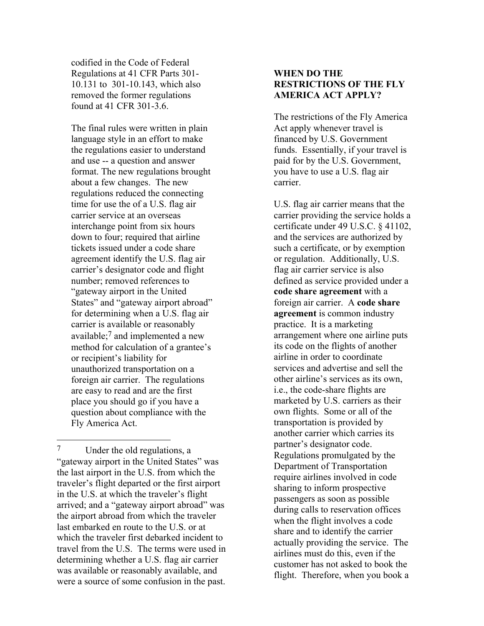codified in the Code of Federal Regulations at 41 CFR Parts 301- 10.131 to 301-10.143, which also removed the former regulations found at 41 CFR 301-3.6.

The final rules were written in plain language style in an effort to make the regulations easier to understand and use -- a question and answer format. The new regulations brought about a few changes. The new regulations reduced the connecting time for use the of a U.S. flag air carrier service at an overseas interchange point from six hours down to four; required that airline tickets issued under a code share agreement identify the U.S. flag air carrier's designator code and flight number; removed references to "gateway airport in the United States" and "gateway airport abroad" for determining when a U.S. flag air carrier is available or reasonably available;7 and implemented a new method for calculation of a grantee's or recipient's liability for unauthorized transportation on a foreign air carrier. The regulations are easy to read and are the first place you should go if you have a question about compliance with the Fly America Act.

7 Under the old regulations, a "gateway airport in the United States" was the last airport in the U.S. from which the traveler's flight departed or the first airport in the U.S. at which the traveler's flight arrived; and a "gateway airport abroad" was the airport abroad from which the traveler last embarked en route to the U.S. or at which the traveler first debarked incident to travel from the U.S. The terms were used in determining whether a U.S. flag air carrier was available or reasonably available, and were a source of some confusion in the past.

 $\overline{a}$ 

#### **WHEN DO THE RESTRICTIONS OF THE FLY AMERICA ACT APPLY?**

The restrictions of the Fly America Act apply whenever travel is financed by U.S. Government funds. Essentially, if your travel is paid for by the U.S. Government, you have to use a U.S. flag air carrier.

U.S. flag air carrier means that the carrier providing the service holds a certificate under 49 U.S.C. § 41102, and the services are authorized by such a certificate, or by exemption or regulation. Additionally, U.S. flag air carrier service is also defined as service provided under a **code share agreement** with a foreign air carrier. A **code share agreement** is common industry practice. It is a marketing arrangement where one airline puts its code on the flights of another airline in order to coordinate services and advertise and sell the other airline's services as its own, i.e., the code-share flights are marketed by U.S. carriers as their own flights. Some or all of the transportation is provided by another carrier which carries its partner's designator code. Regulations promulgated by the Department of Transportation require airlines involved in code sharing to inform prospective passengers as soon as possible during calls to reservation offices when the flight involves a code share and to identify the carrier actually providing the service. The airlines must do this, even if the customer has not asked to book the flight. Therefore, when you book a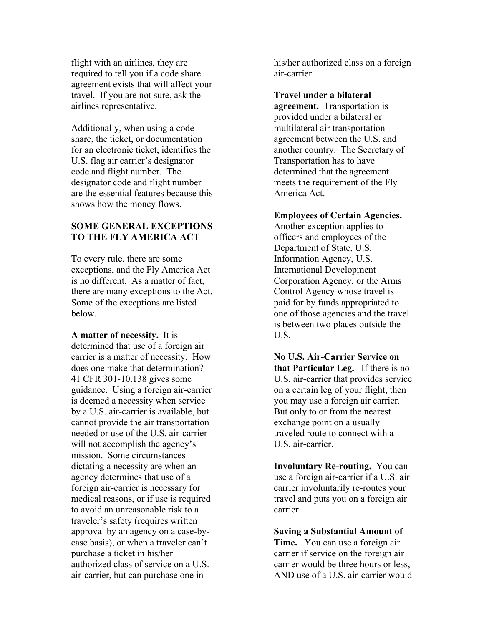flight with an airlines, they are required to tell you if a code share agreement exists that will affect your travel. If you are not sure, ask the airlines representative.

Additionally, when using a code share, the ticket, or documentation for an electronic ticket, identifies the U.S. flag air carrier's designator code and flight number. The designator code and flight number are the essential features because this shows how the money flows.

#### **SOME GENERAL EXCEPTIONS TO THE FLY AMERICA ACT**

To every rule, there are some exceptions, and the Fly America Act is no different. As a matter of fact, there are many exceptions to the Act. Some of the exceptions are listed below.

**A matter of necessity.** It is determined that use of a foreign air carrier is a matter of necessity. How does one make that determination? 41 CFR 301-10.138 gives some guidance. Using a foreign air-carrier is deemed a necessity when service by a U.S. air-carrier is available, but cannot provide the air transportation needed or use of the U.S. air-carrier will not accomplish the agency's mission. Some circumstances dictating a necessity are when an agency determines that use of a foreign air-carrier is necessary for medical reasons, or if use is required to avoid an unreasonable risk to a traveler's safety (requires written approval by an agency on a case-bycase basis), or when a traveler can't purchase a ticket in his/her authorized class of service on a U.S. air-carrier, but can purchase one in

his/her authorized class on a foreign air-carrier.

**Travel under a bilateral agreement.** Transportation is provided under a bilateral or multilateral air transportation agreement between the U.S. and another country. The Secretary of Transportation has to have determined that the agreement meets the requirement of the Fly America Act.

#### **Employees of Certain Agencies.**

Another exception applies to officers and employees of the Department of State, U.S. Information Agency, U.S. International Development Corporation Agency, or the Arms Control Agency whose travel is paid for by funds appropriated to one of those agencies and the travel is between two places outside the U.S.

**No U.S. Air-Carrier Service on that Particular Leg.** If there is no U.S. air-carrier that provides service on a certain leg of your flight, then you may use a foreign air carrier. But only to or from the nearest exchange point on a usually traveled route to connect with a U.S. air-carrier.

**Involuntary Re-routing.** You can use a foreign air-carrier if a U.S. air carrier involuntarily re-routes your travel and puts you on a foreign air carrier.

**Saving a Substantial Amount of Time.** You can use a foreign air carrier if service on the foreign air carrier would be three hours or less, AND use of a U.S. air-carrier would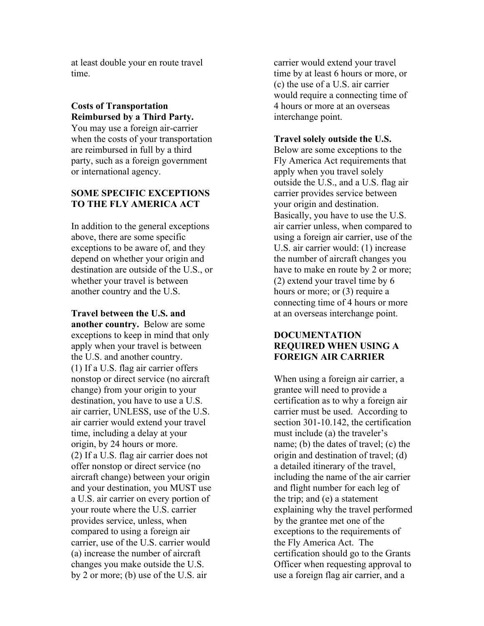at least double your en route travel time.

#### **Costs of Transportation Reimbursed by a Third Party.**

You may use a foreign air-carrier when the costs of your transportation are reimbursed in full by a third party, such as a foreign government or international agency.

#### **SOME SPECIFIC EXCEPTIONS TO THE FLY AMERICA ACT**

In addition to the general exceptions above, there are some specific exceptions to be aware of, and they depend on whether your origin and destination are outside of the U.S., or whether your travel is between another country and the U.S.

**Travel between the U.S. and another country.** Below are some exceptions to keep in mind that only apply when your travel is between the U.S. and another country. (1) If a U.S. flag air carrier offers nonstop or direct service (no aircraft change) from your origin to your destination, you have to use a U.S. air carrier, UNLESS, use of the U.S. air carrier would extend your travel time, including a delay at your origin, by 24 hours or more. (2) If a U.S. flag air carrier does not offer nonstop or direct service (no aircraft change) between your origin and your destination, you MUST use a U.S. air carrier on every portion of your route where the U.S. carrier provides service, unless, when compared to using a foreign air carrier, use of the U.S. carrier would (a) increase the number of aircraft changes you make outside the U.S. by 2 or more; (b) use of the U.S. air

carrier would extend your travel time by at least 6 hours or more, or (c) the use of a U.S. air carrier would require a connecting time of 4 hours or more at an overseas interchange point.

#### **Travel solely outside the U.S.**

Below are some exceptions to the Fly America Act requirements that apply when you travel solely outside the U.S., and a U.S. flag air carrier provides service between your origin and destination. Basically, you have to use the U.S. air carrier unless, when compared to using a foreign air carrier, use of the U.S. air carrier would: (1) increase the number of aircraft changes you have to make en route by 2 or more; (2) extend your travel time by 6 hours or more; or (3) require a connecting time of 4 hours or more at an overseas interchange point.

#### **DOCUMENTATION REQUIRED WHEN USING A FOREIGN AIR CARRIER**

When using a foreign air carrier, a grantee will need to provide a certification as to why a foreign air carrier must be used. According to section 301-10.142, the certification must include (a) the traveler's name; (b) the dates of travel; (c) the origin and destination of travel; (d) a detailed itinerary of the travel, including the name of the air carrier and flight number for each leg of the trip; and (e) a statement explaining why the travel performed by the grantee met one of the exceptions to the requirements of the Fly America Act. The certification should go to the Grants Officer when requesting approval to use a foreign flag air carrier, and a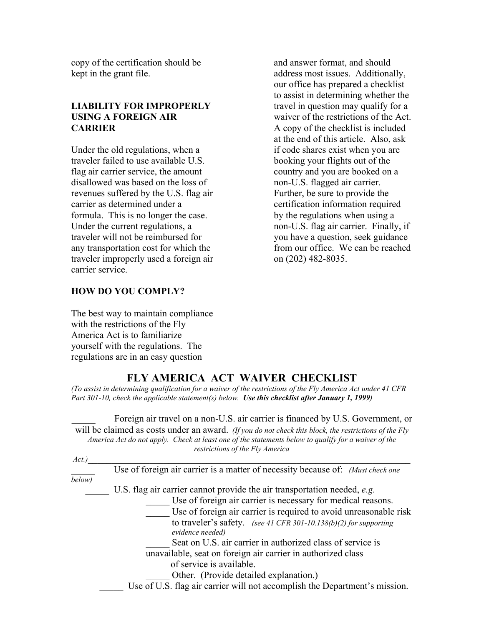copy of the certification should be kept in the grant file.

#### **LIABILITY FOR IMPROPERLY USING A FOREIGN AIR CARRIER**

Under the old regulations, when a traveler failed to use available U.S. flag air carrier service, the amount disallowed was based on the loss of revenues suffered by the U.S. flag air carrier as determined under a formula. This is no longer the case. Under the current regulations, a traveler will not be reimbursed for any transportation cost for which the traveler improperly used a foreign air carrier service.

and answer format, and should address most issues. Additionally, our office has prepared a checklist to assist in determining whether the travel in question may qualify for a waiver of the restrictions of the Act. A copy of the checklist is included at the end of this article. Also, ask if code shares exist when you are booking your flights out of the country and you are booked on a non-U.S. flagged air carrier. Further, be sure to provide the certification information required by the regulations when using a non-U.S. flag air carrier. Finally, if you have a question, seek guidance from our office. We can be reached on (202) 482-8035.

#### **HOW DO YOU COMPLY?**

The best way to maintain compliance with the restrictions of the Fly America Act is to familiarize yourself with the regulations. The regulations are in an easy question

## **FLY AMERICA ACT WAIVER CHECKLIST**

*(To assist in determining qualification for a waiver of the restrictions of the Fly America Act under 41 CFR Part 301-10, check the applicable statement(s) below. Use this checklist after January 1, 1999)*

Foreign air travel on a non-U.S. air carrier is financed by U.S. Government, or will be claimed as costs under an award. *(If you do not check this block, the restrictions of the Fly America Act do not apply. Check at least one of the statements below to qualify for a waiver of the restrictions of the Fly America*

| Act.)  |                                                                                 |
|--------|---------------------------------------------------------------------------------|
|        | Use of foreign air carrier is a matter of necessity because of: (Must check one |
| below) |                                                                                 |
|        | U.S. flag air carrier cannot provide the air transportation needed, e.g.        |
|        | Use of foreign air carrier is necessary for medical reasons.                    |
|        | Use of foreign air carrier is required to avoid unreasonable risk               |
|        | to traveler's safety. (see 41 CFR 301-10.138(b)(2) for supporting               |
|        | evidence needed)                                                                |
|        | Seat on U.S. air carrier in authorized class of service is                      |
|        | unavailable, seat on foreign air carrier in authorized class                    |
|        | of service is available.                                                        |
|        | Other. (Provide detailed explanation.)                                          |
|        | Use of U.S. flag air carrier will not accomplish the Department's mission.      |